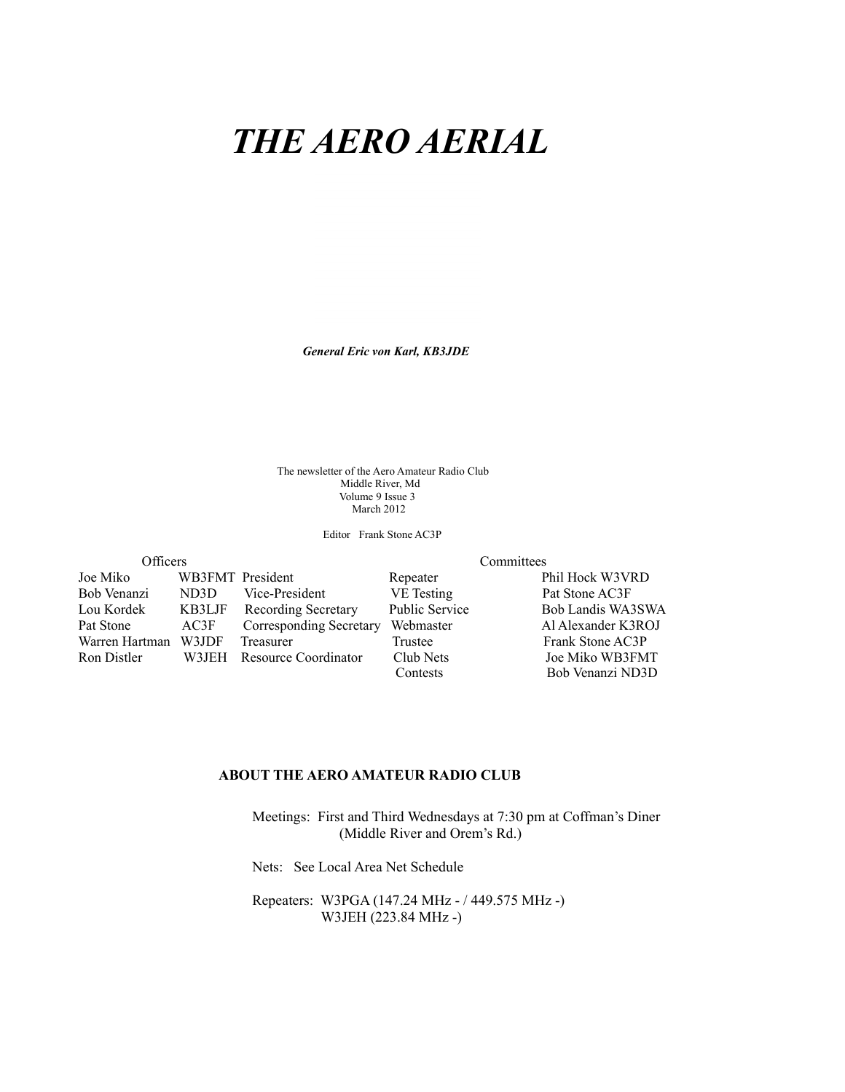# *THE AERO AERIAL*



*General Eric von Karl, KB3JDE*

The newsletter of the Aero Amateur Radio Club Middle River, Md Volume 9 Issue 3 March 2012

Editor Frank Stone AC3P

| Officers       |        |                            |                       | Committees         |
|----------------|--------|----------------------------|-----------------------|--------------------|
| Joe Miko       |        | WB3FMT President           | Repeater              | Phil Hock W3VRD    |
| Bob Venanzi    | ND3D   | Vice-President             | VE Testing            | Pat Stone AC3F     |
| Lou Kordek     | KB3LJF | <b>Recording Secretary</b> | <b>Public Service</b> | Bob Landis WA3SWA  |
| Pat Stone      | AC3F   | Corresponding Secretary    | Webmaster             | Al Alexander K3ROJ |
| Warren Hartman | W3JDF  | Treasurer                  | Trustee               | Frank Stone AC3P   |
| Ron Distler    | W3JEH  | Resource Coordinator       | Club Nets             | Joe Miko WB3FMT    |
|                |        |                            | Contests              | Bob Venanzi ND3D   |

#### **-BOUT THE AERO AMATEUR RADIO CLUB**

 Meetings: First and Third Wednesdays at 7:30 pm at Coffman's Diner (Middle River and Orem's Rd.)

Nets: See Local Area Net Schedule

 Repeaters: W3PGA (147.24 MHz - / 449.575 MHz -) W3JEH (223.84 MHz -)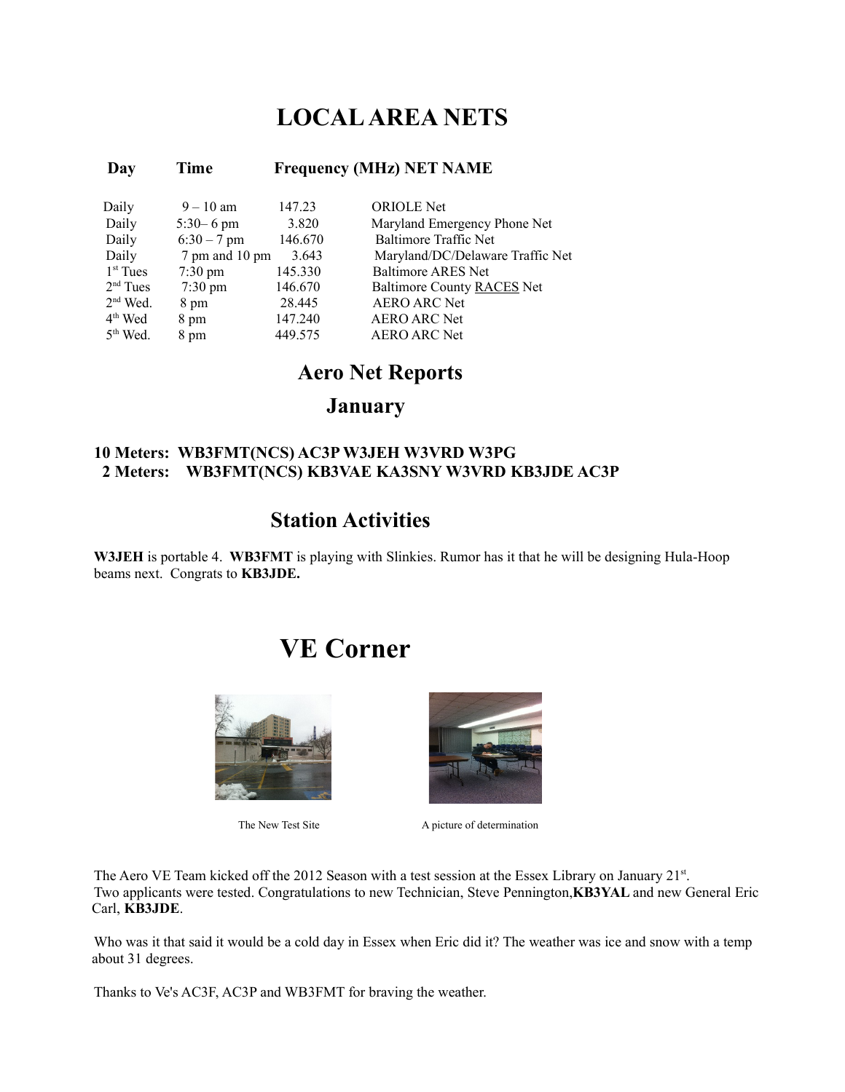### **LOCAL AREA NETS**

### **-**

| Daily      | $9 - 10$ am       | 147.23  | <b>ORIOLE</b> Net                |
|------------|-------------------|---------|----------------------------------|
| Daily      | $5:30 - 6$ pm     | 3.820   | Maryland Emergency Phone Net     |
| Daily      | $6:30 - 7$ pm     | 146.670 | <b>Baltimore Traffic Net</b>     |
| Daily      | 7 pm and 10 pm    | 3.643   | Maryland/DC/Delaware Traffic Net |
| $1st$ Tues | $7:30 \text{ pm}$ | 145.330 | <b>Baltimore ARES Net</b>        |
| $2nd$ Tues | $7:30 \text{ pm}$ | 146.670 | Baltimore County RACES Net       |
| $2nd$ Wed. | 8 pm              | 28.445  | <b>AERO ARC Net</b>              |
| $4th$ Wed  | 8 pm              | 147.240 | <b>AERO ARC Net</b>              |
| $5th$ Wed. | 8 pm              | 449 575 | <b>AERO ARC Net</b>              |

#### **-Aero Net Reports**

*January* 

### **10 Meters: WB3FMT(NCS) AC3P W3JEH W3VRD W3PG** 2 Meters: WB3FMT(NCS) KB3VAE KA3SNY W3VRD KB3JDE AC3P

### **1 Station Activities**

**W3JEH** is portable 4. **WB3FMT** is playing with Slinkies. Rumor has it that he will be designing Hula-Hoop beams next. Congrats to **KB3JDE**.

### **VE Corner**





The New Test Site<br>A picture of determination

The Aero VE Team kicked off the 2012 Season with a test session at the Essex Library on January 21<sup>st</sup>. Two applicants were tested. Congratulations to new Technician, Steve Pennington, KB3YAL and new General Eric Carl, **KB3JDE**.

Who was it that said it would be a cold day in Essex when Eric did it? The weather was ice and snow with a temp about 31 degrees.

Thanks to Ve's AC3F, AC3P and WB3FMT for braving the weather.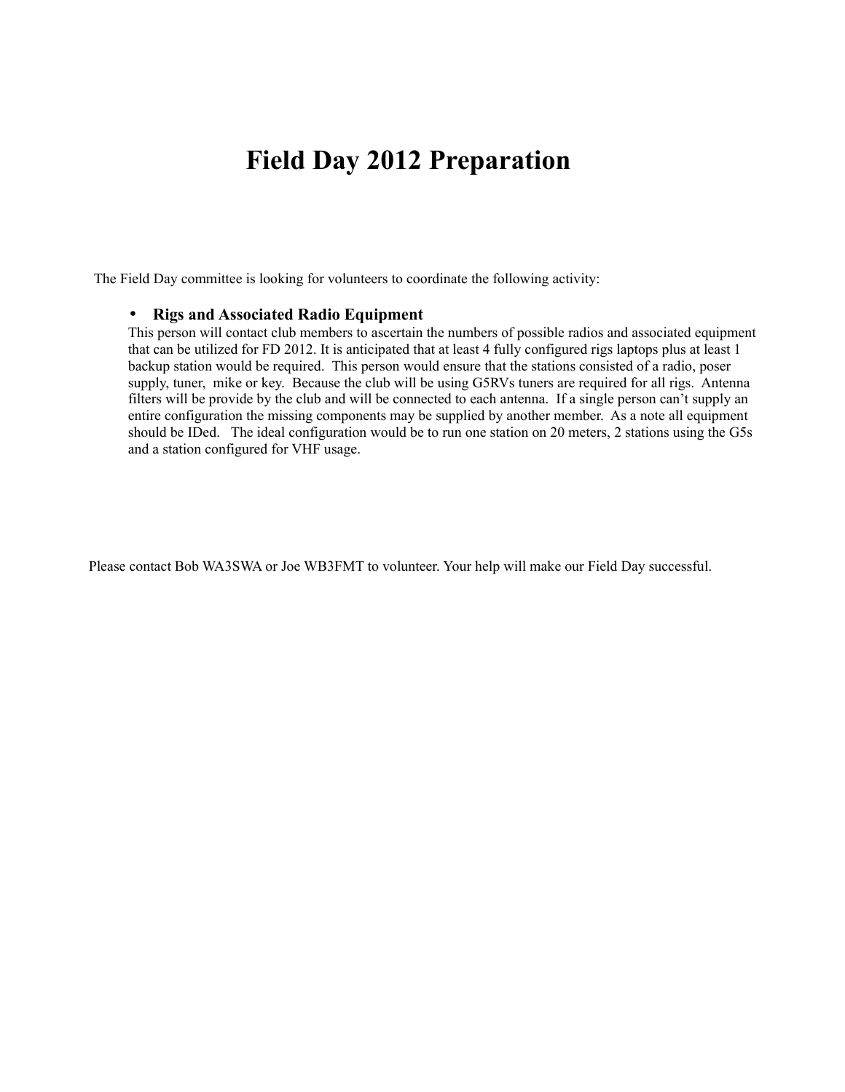## **Field Day 2012 Preparation**

The Field Day committee is looking for volunteers to coordinate the following activity:

#### • Rigs and Associated Radio Equipment

This person will contact club members to ascertain the numbers of possible radios and associated equipment that can be utilized for FD 2012. It is anticipated that at least 4 fully configured rigs laptops plus at least 1 backup station would be required. This person would ensure that the stations consisted of a radio, poser supply, tuner, mike or key. Because the club will be using G5RVs tuners are required for all rigs. Antenna filters will be provide by the club and will be connected to each antenna. If a single person can't supply an entire configuration the missing components may be supplied by another member. As a note all equipment should be IDed. The ideal configuration would be to run one station on 20 meters, 2 stations using the G5s and a station configured for VHF usage.

Please contact Bob WA3SWA or Joe WB3FMT to volunteer. Your help will make our Field Day successful.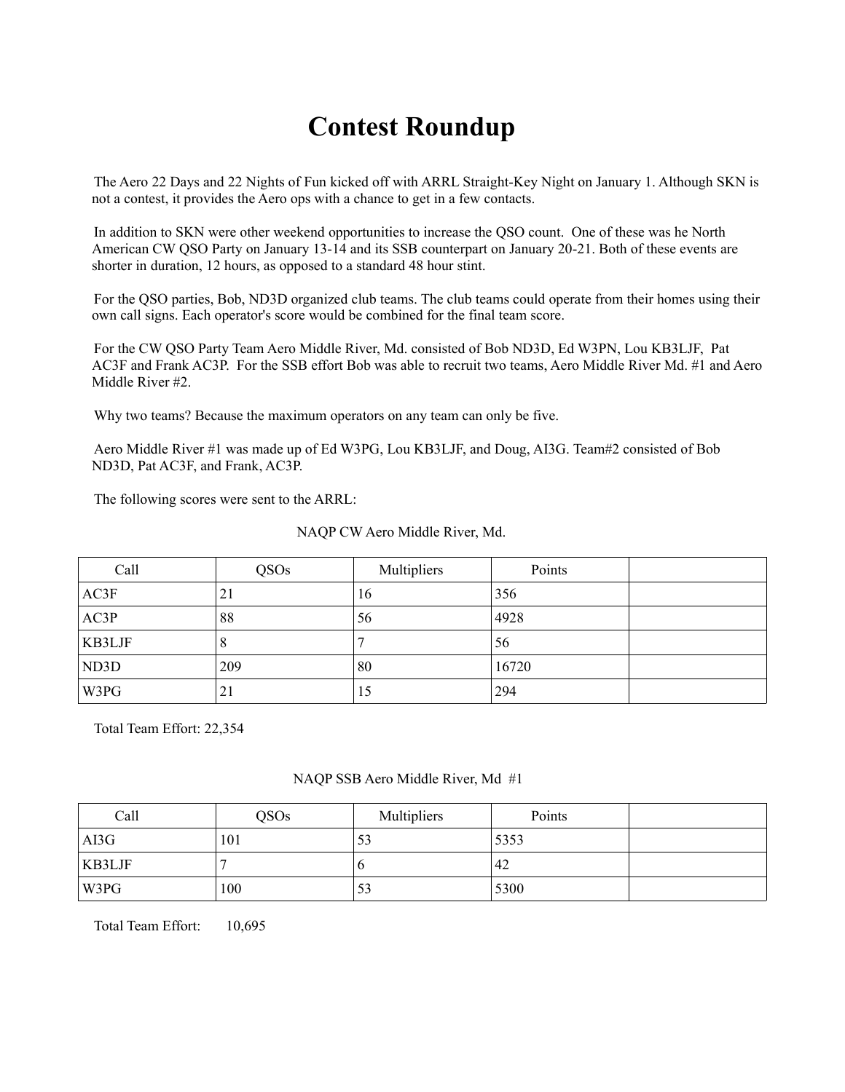## **Contest Roundup**

The Aero 22 Days and 22 Nights of Fun kicked off with ARRL Straight-Key Night on January 1. Although SKN is not a contest, it provides the Aero ops with a chance to get in a few contacts.

In addition to SKN were other weekend opportunities to increase the QSO count. One of these was he North American CW QSO Party on January 13-14 and its SSB counterpart on January 20-21. Both of these events are shorter in duration, 12 hours, as opposed to a standard 48 hour stint.

For the QSO parties, Bob, ND3D organized club teams. The club teams could operate from their homes using their own call signs. Each operator's score would be combined for the final team score.

For the CW QSO Party Team Aero Middle River, Md. consisted of Bob ND3D, Ed W3PN, Lou KB3LJF, Pat AC3F and Frank AC3P. For the SSB effort Bob was able to recruit two teams, Aero Middle River Md. #1 and Aero Middle River #2.

Why two teams? Because the maximum operators on any team can only be five.

Aero Middle River #1 was made up of Ed W3PG, Lou KB3LJF, and Doug, AI3G. Team#2 consisted of Bob ND3D, Pat AC3F, and Frank, AC3P.

The following scores were sent to the ARRL:

#### NAQP CW Aero Middle River, Md.

| Call   | QSO <sub>s</sub> | Multipliers | Points |  |
|--------|------------------|-------------|--------|--|
| AC3F   | 21               | 16          | 356    |  |
| AC3P   | 88               | 56          | 4928   |  |
| KB3LJF | O                |             | 56     |  |
| ND3D   | 209              | 80          | 16720  |  |
| W3PG   | 21               | 15          | 294    |  |

Total Team Effort: 22,354

#### NAQP SSB Aero Middle River, Md #1

| Call   | QSO <sub>s</sub> | Multipliers | Points |  |
|--------|------------------|-------------|--------|--|
| AI3G   | 101              | 22          | 5353   |  |
| KB3LJF |                  |             | 42     |  |
| W3PG   | 100              | 23          | 5300   |  |

Total Team Effort: 10,695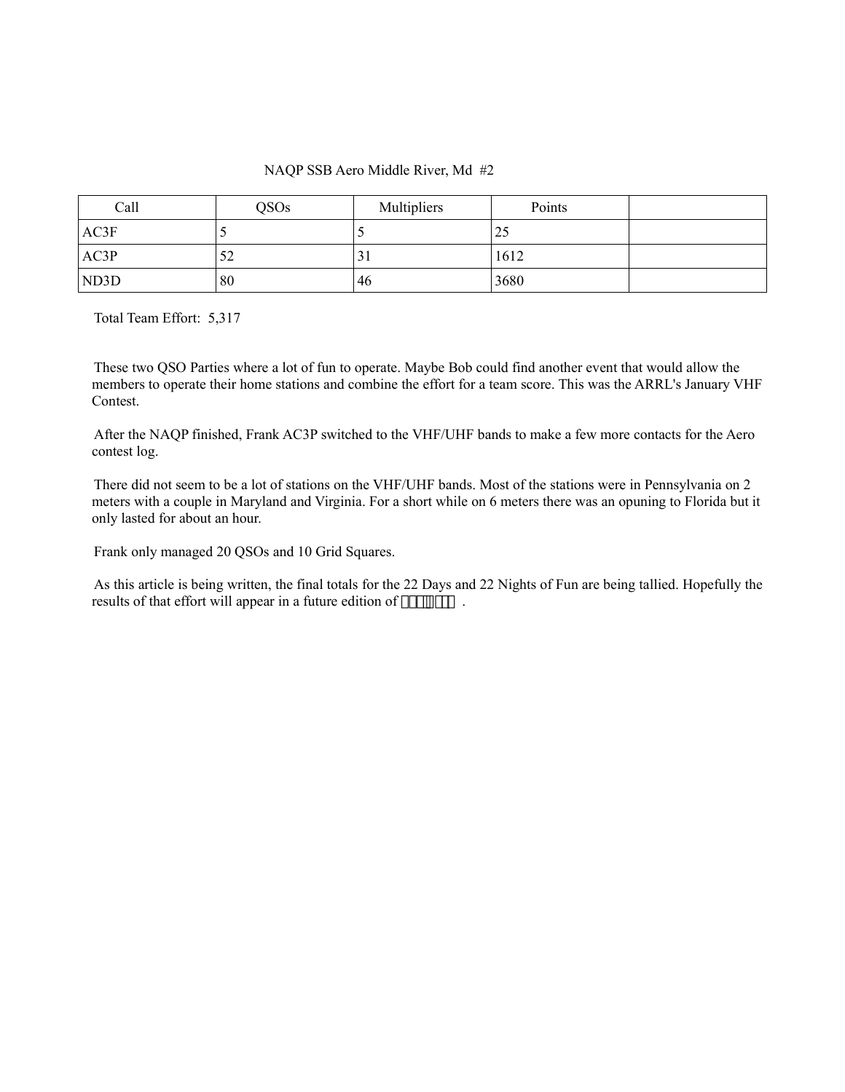#### NAQP SSB Aero Middle River, Md #2

| Call | <b>QSOs</b> | Multipliers       | Points |  |
|------|-------------|-------------------|--------|--|
| AC3F |             |                   | 25     |  |
| AC3P | 52          | ◠<br>$\mathbf{1}$ | 1612   |  |
| ND3D | 80          | 46                | 3680   |  |

Total Team Effort: 5,317

These two QSO Parties where a lot of fun to operate. Maybe Bob could find another event that would allow the members to operate their home stations and combine the effort for a team score. This was the ARRL's January VHF Contest.

After the NAQP finished, Frank AC3P switched to the VHF/UHF bands to make a few more contacts for the Aero contest log.

There did not seem to be a lot of stations on the VHF/UHF bands. Most of the stations were in Pennsylvania on 2 meters with a couple in Maryland and Virginia. For a short while on 6 meters there was an opuning to Florida but it only lasted for about an hour.

Frank only managed 20 QSOs and 10 Grid Squares.

As this article is being written, the final totals for the 22 Days and 22 Nights of Fun are being tallied. Hopefully the results of that effort will appear in a future edition of *The Aerial*.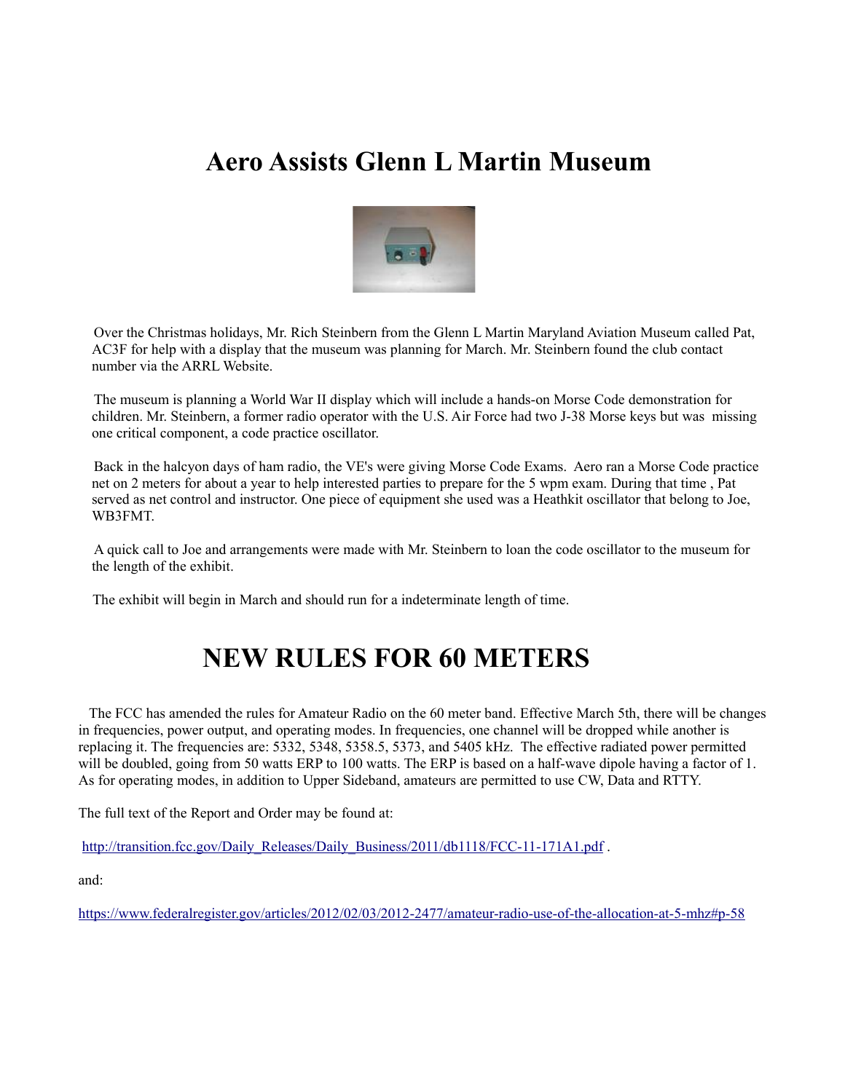## **Aero Assists Glenn L Martin Museum**



Over the Christmas holidays, Mr. Rich Steinbern from the Glenn L Martin Maryland Aviation Museum called Pat, AC3F for help with a display that the museum was planning for March. Mr. Steinbern found the club contact number via the ARRL Website.

The museum is planning a World War II display which will include a hands-on Morse Code demonstration for children. Mr. Steinbern, a former radio operator with the U.S. Air Force had two J-38 Morse keys but was missing one critical component, a code practice oscillator.

Back in the halcyon days of ham radio, the VE's were giving Morse Code Exams. Aero ran a Morse Code practice net on 2 meters for about a year to help interested parties to prepare for the 5 wpm exam. During that time , Pat served as net control and instructor. One piece of equipment she used was a Heathkit oscillator that belong to Joe, WB3FMT.

A quick call to Joe and arrangements were made with Mr. Steinbern to loan the code oscillator to the museum for the length of the exhibit.

The exhibit will begin in March and should run for a indeterminate length of time.

## **NEW RULES FOR 60 METERS**

 The FCC has amended the rules for Amateur Radio on the 60 meter band. Effective March 5th, there will be changes in frequencies, power output, and operating modes. In frequencies, one channel will be dropped while another is replacing it. The frequencies are: 5332, 5348, 5358.5, 5373, and 5405 kHz. The effective radiated power permitted will be doubled, going from 50 watts ERP to 100 watts. The ERP is based on a half-wave dipole having a factor of 1. As for operating modes, in addition to Upper Sideband, amateurs are permitted to use CW, Data and RTTY.

The full text of the Report and Order may be found at:

[http://transition.fcc.gov/Daily\\_Releases/Daily\\_Business/2011/db1118/FCC-11-171A1.pdf](http://transition.fcc.gov/Daily_Releases/Daily_Business/2011/db1118/FCC-11-171A1.pdf) .

and:

<https://www.federalregister.gov/articles/2012/02/03/2012-2477/amateur-radio-use-of-the-allocation-at-5-mhz#p-58>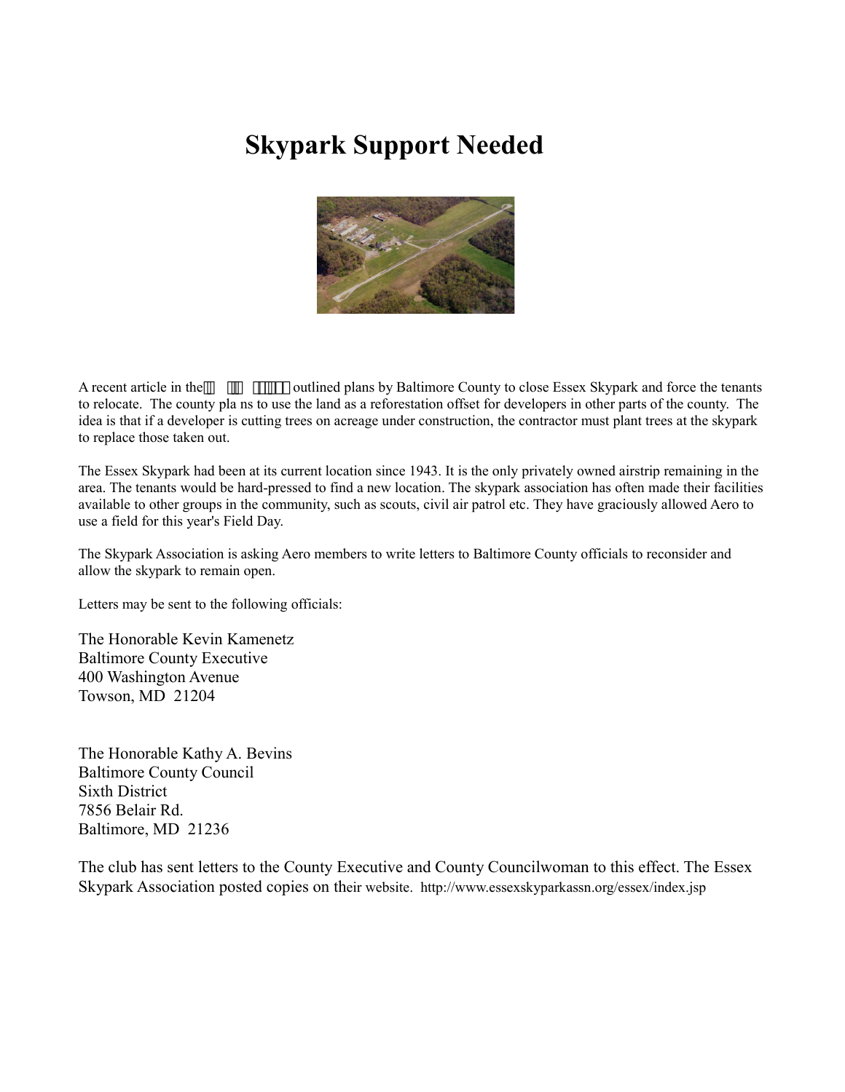## **Skypark Support Needed**



A recent article in the *Baltimore Sun* outlined plans by Baltimore County to close Essex Skypark and force the tenants to relocate. The county pla ns to use the land as a reforestation offset for developers in other parts of the county. The idea is that if a developer is cutting trees on acreage under construction, the contractor must plant trees at the skypark to replace those taken out.

The Essex Skypark had been at its current location since 1943. It is the only privately owned airstrip remaining in the area. The tenants would be hard-pressed to find a new location. The skypark association has often made their facilities available to other groups in the community, such as scouts, civil air patrol etc. They have graciously allowed Aero to use a field for this year's Field Day.

The Skypark Association is asking Aero members to write letters to Baltimore County officials to reconsider and allow the skypark to remain open.

Letters may be sent to the following officials:

The Honorable Kevin Kamenetz Baltimore County Executive 400 Washington Avenue Towson, MD 21204

The Honorable Kathy A. Bevins Baltimore County Council Sixth District 7856 Belair Rd. Baltimore, MD 21236

The club has sent letters to the County Executive and County Councilwoman to this effect. The Essex Skypark Association posted copies on their website. http://www.essexskyparkassn.org/essex/index.jsp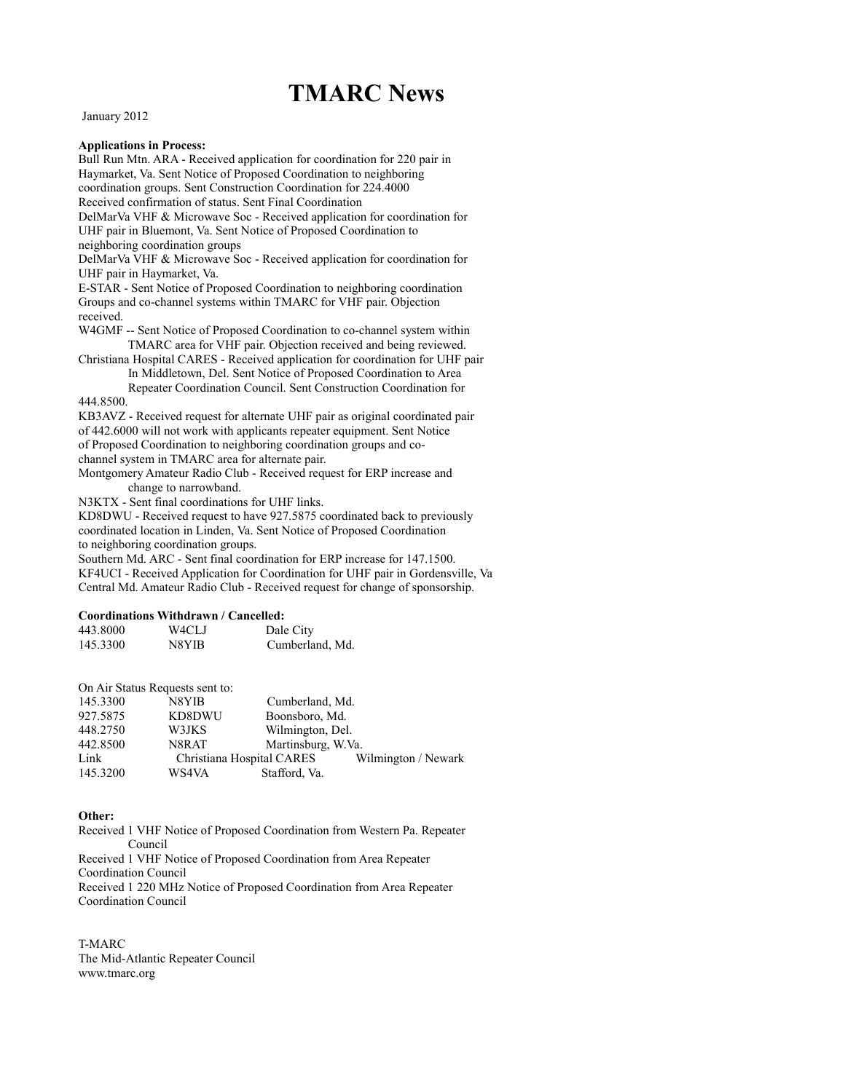### **TMARC News**

January 2012

#### **Applications in Process:**

Bull Run Mtn. ARA - Received application for coordination for 220 pair in Haymarket, Va. Sent Notice of Proposed Coordination to neighboring coordination groups. Sent Construction Coordination for 224.4000 Received confirmation of status. Sent Final Coordination DelMarVa VHF & Microwave Soc - Received application for coordination for UHF pair in Bluemont, Va. Sent Notice of Proposed Coordination to neighboring coordination groups DelMarVa VHF & Microwave Soc - Received application for coordination for UHF pair in Haymarket, Va. E-STAR - Sent Notice of Proposed Coordination to neighboring coordination Groups and co-channel systems within TMARC for VHF pair. Objection received. W4GMF -- Sent Notice of Proposed Coordination to co-channel system within TMARC area for VHF pair. Objection received and being reviewed. Christiana Hospital CARES - Received application for coordination for UHF pair In Middletown, Del. Sent Notice of Proposed Coordination to Area Repeater Coordination Council. Sent Construction Coordination for 444.8500. KB3AVZ - Received request for alternate UHF pair as original coordinated pair of 442.6000 will not work with applicants repeater equipment. Sent Notice of Proposed Coordination to neighboring coordination groups and cochannel system in TMARC area for alternate pair. Montgomery Amateur Radio Club - Received request for ERP increase and change to narrowband. N3KTX - Sent final coordinations for UHF links. KD8DWU - Received request to have 927.5875 coordinated back to previously

coordinated location in Linden, Va. Sent Notice of Proposed Coordination

to neighboring coordination groups.

Southern Md. ARC - Sent final coordination for ERP increase for 147.1500. KF4UCI - Received Application for Coordination for UHF pair in Gordensville, Va Central Md. Amateur Radio Club - Received request for change of sponsorship.

#### **Coordinations Withdrawn / Cancelled:**

| 443.8000 | W4CLJ | Dale City       |
|----------|-------|-----------------|
| 145.3300 | N8YIB | Cumberland, Md. |

On Air Status Requests sent to:

| 145.3300 | N8YIB                     | Cumberland, Md.    |                     |
|----------|---------------------------|--------------------|---------------------|
| 927.5875 | KD8DWU                    | Boonsboro, Md.     |                     |
| 448.2750 | W3JKS                     | Wilmington, Del.   |                     |
| 442.8500 | N8RAT                     | Martinsburg, W.Va. |                     |
| Link     | Christiana Hospital CARES |                    | Wilmington / Newark |
| 145.3200 | WS4VA                     | Stafford, Va.      |                     |

#### Other:

Received 1 VHF Notice of Proposed Coordination from Western Pa. Repeater Council Received 1 VHF Notice of Proposed Coordination from Area Repeater Coordination Council Received 1 220 MHz Notice of Proposed Coordination from Area Repeater Coordination Council

T-MARC The Mid-Atlantic Repeater Council www.tmarc.org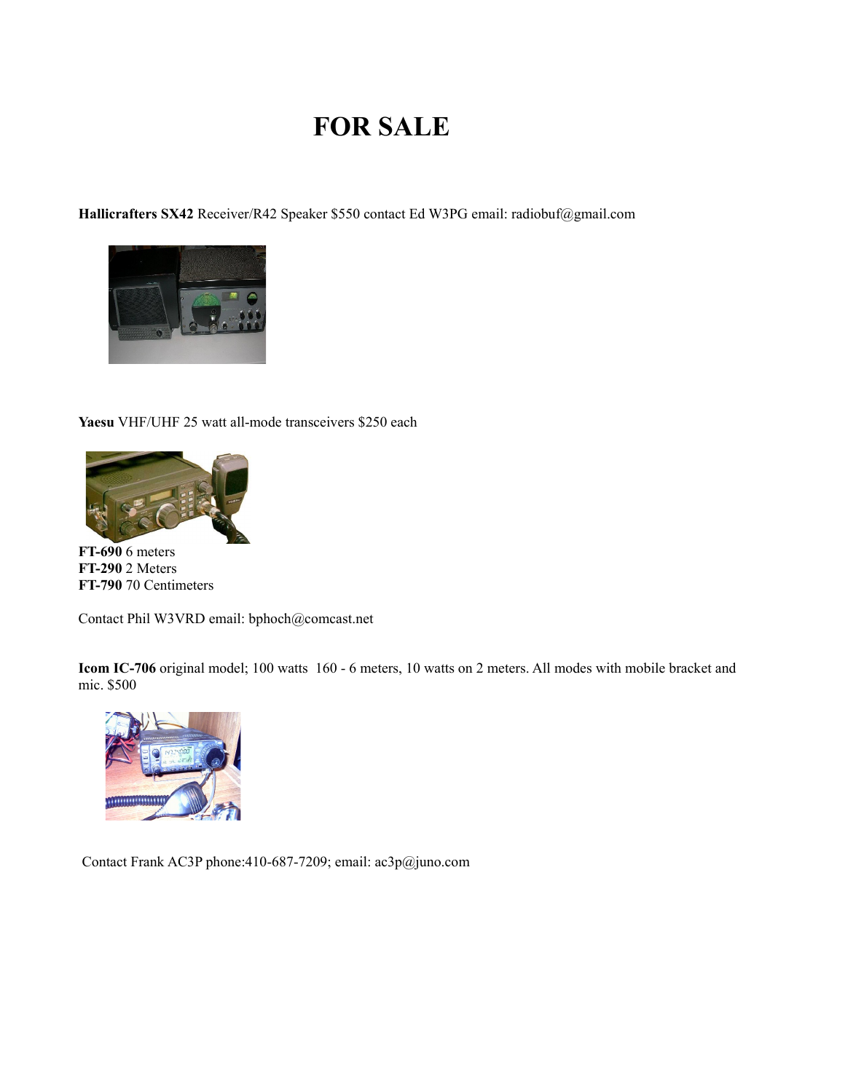## **FOR SALE**

Hallicrafters SX42 Receiver/R42 Speaker \$550 contact Ed W3PG email: radiobuf@gmail.com



Yaesu VHF/UHF 25 watt all-mode transceivers \$250 each



**FT-690** 6 meters **FT-290** 2 Meters FT-790 70 Centimeters

Contact Phil W3VRD email: bphoch@comcast.net

Icom IC-706 original model; 100 watts 160 - 6 meters, 10 watts on 2 meters. All modes with mobile bracket and mic. \$500



Contact Frank AC3P phone:410-687-7209; email: ac3p@juno.com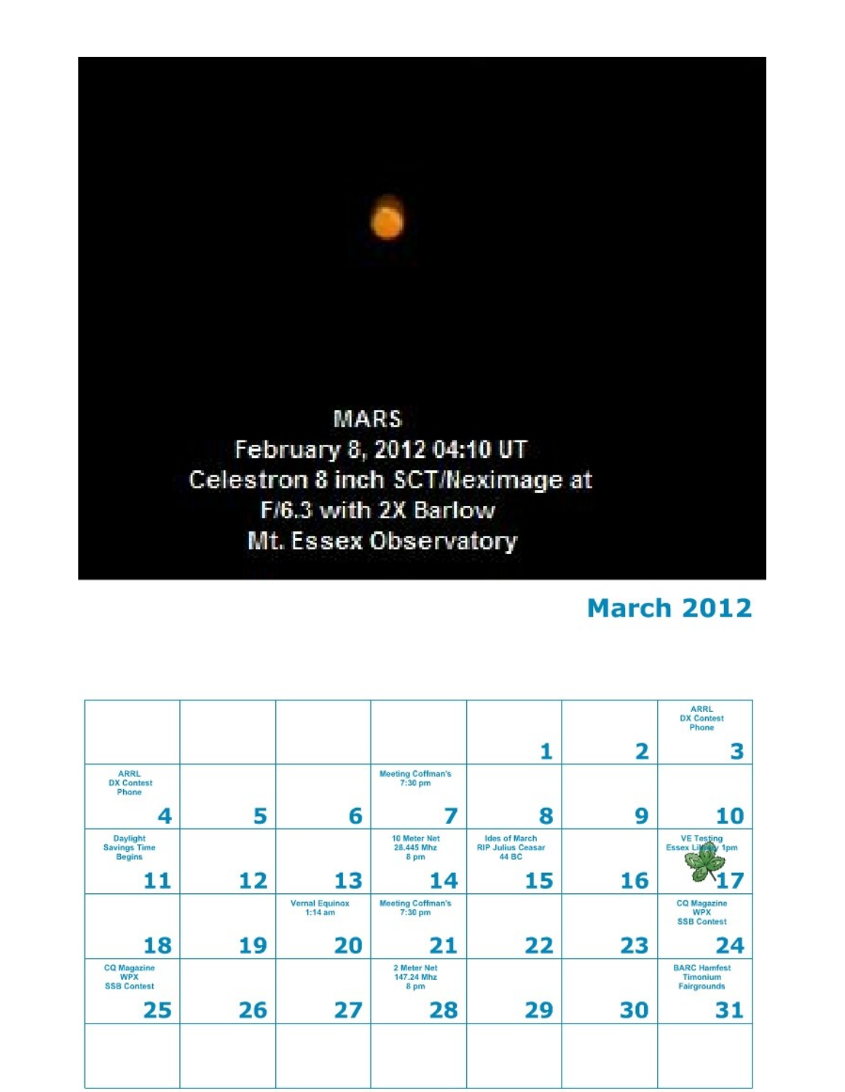

## **March 2012**